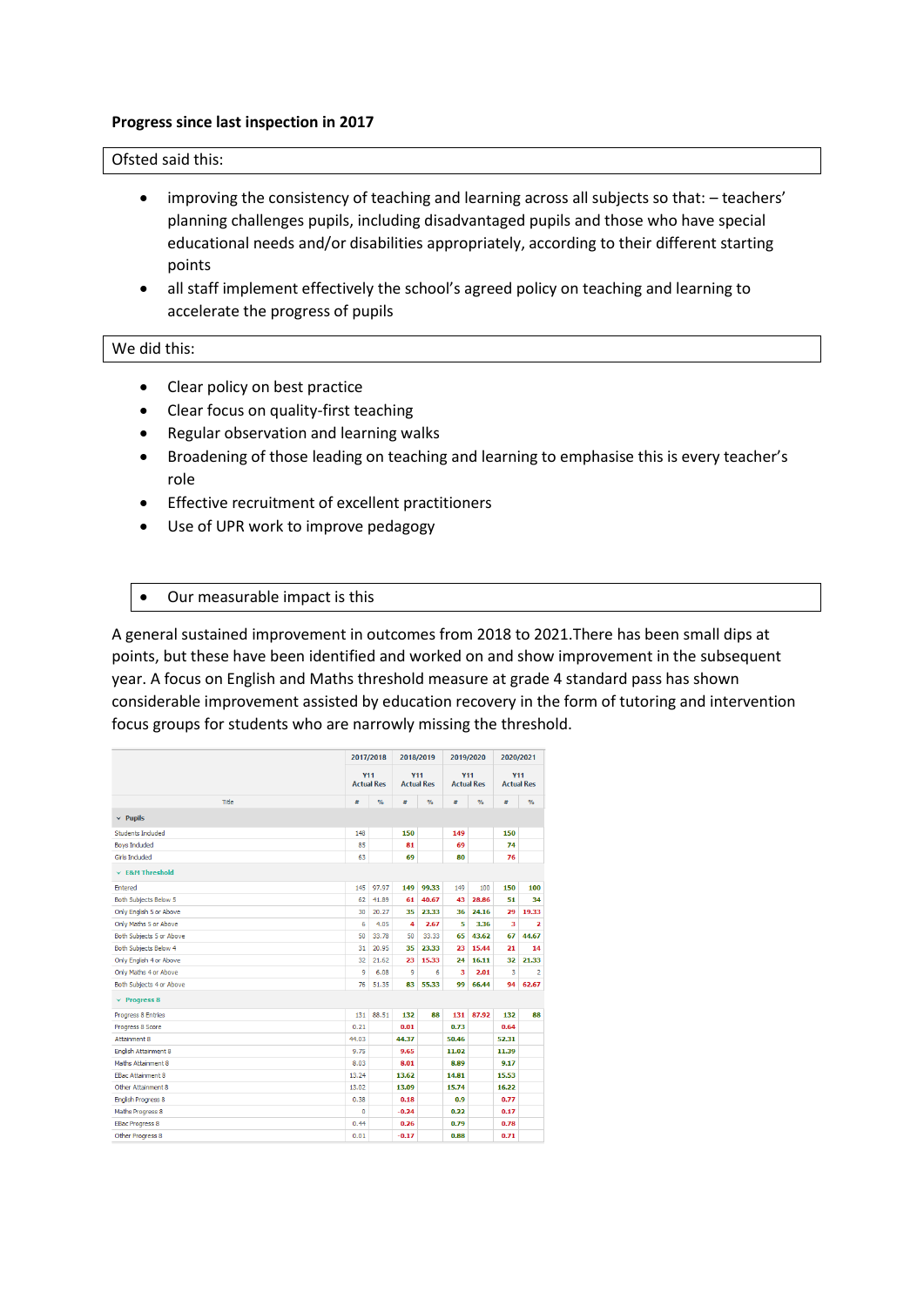#### **Progress since last inspection in 2017**

## Ofsted said this:

- improving the consistency of teaching and learning across all subjects so that: teachers' planning challenges pupils, including disadvantaged pupils and those who have special educational needs and/or disabilities appropriately, according to their different starting points
- all staff implement effectively the school's agreed policy on teaching and learning to accelerate the progress of pupils

# We did this:

- Clear policy on best practice
- Clear focus on quality-first teaching
- Regular observation and learning walks
- Broadening of those leading on teaching and learning to emphasise this is every teacher's role
- Effective recruitment of excellent practitioners
- Use of UPR work to improve pedagogy
- Our measurable impact is this

A general sustained improvement in outcomes from 2018 to 2021.There has been small dips at points, but these have been identified and worked on and show improvement in the subsequent year. A focus on English and Maths threshold measure at grade 4 standard pass has shown considerable improvement assisted by education recovery in the form of tutoring and intervention focus groups for students who are narrowly missing the threshold.

|                              | 2017/2018                       |               | 2018/2019                       |               | 2019/2020                       |               | 2020/2021                       |               |
|------------------------------|---------------------------------|---------------|---------------------------------|---------------|---------------------------------|---------------|---------------------------------|---------------|
|                              | <b>Y11</b><br><b>Actual Res</b> |               | <b>Y11</b><br><b>Actual Res</b> |               | <b>Y11</b><br><b>Actual Res</b> |               | <b>Y11</b><br><b>Actual Res</b> |               |
| Title                        | #                               | $\frac{9}{6}$ | #                               | $\frac{9}{6}$ | #                               | $\frac{9}{6}$ | #                               | $\frac{9}{6}$ |
| $\times$ Pupils              |                                 |               |                                 |               |                                 |               |                                 |               |
| Students Included            | 148                             |               | 150                             |               | 149                             |               | 150                             |               |
| <b>Boys Included</b>         | 85                              |               | 81                              |               | 69                              |               | 74                              |               |
| <b>Girls Included</b>        | 63                              |               | 69                              |               | 80                              |               | 76                              |               |
| $\times$ E&M Threshold       |                                 |               |                                 |               |                                 |               |                                 |               |
| Entered                      | 145                             | 97.97         | 149                             | 99.33         | 149                             | 100           | 150                             | 100           |
| <b>Both Subjects Below 5</b> | 62                              | 41.89         | 61                              | 40.67         | 43                              | 28.86         | 51                              | 34            |
| Only English 5 or Above      | 30                              | 20.27         | 35                              | 23.33         | 36                              | 24.16         | 29                              | 19.33         |
| Only Maths 5 or Above        | 6                               | 4.05          | 4                               | 2.67          | 5                               | 3.36          | 3                               | 2             |
| Both Subjects 5 or Above     | 50                              | 33.78         | 50                              | 33.33         | 65                              | 43.62         | 67                              | 44.67         |
| <b>Both Subjects Below 4</b> | 31                              | 20.95         | 35                              | 23.33         | 23                              | 15.44         | 21                              | 14            |
| Only English 4 or Above      | 32                              | 21.62         | 23                              | 15.33         | 24                              | 16.11         | 32                              | 21.33         |
| Only Maths 4 or Above        | 9                               | 6.08          | 9                               | 6             | 3                               | 2.01          | 3                               | 2             |
| Both Subjects 4 or Above     | 76                              | 51.35         | 83                              | 55.33         | 99                              | 66.44         | 94                              | 62.67         |
| $\times$ Progress 8          |                                 |               |                                 |               |                                 |               |                                 |               |
| Progress 8 Entries           | 131                             | 88.51         | 132                             | 88            | 131                             | 87.92         | 132                             | 88            |
| Progress 8 Score             | 0.21                            |               | 0.01                            |               | 0.73                            |               | 0.64                            |               |
| Attainment 8                 | 44.03                           |               | 44.37                           |               | 50.46                           |               | 52.31                           |               |
| English Attainment 8         | 9.75                            |               | 9.65                            |               | 11.02                           |               | 11.39                           |               |
| Maths Attainment 8           | 8.03                            |               | 8.01                            |               | 8.89                            |               | 9.17                            |               |
| <b>EBac Attainment 8</b>     | 13.24                           |               | 13.62                           |               | 14.81                           |               | 15.53                           |               |
| Other Attainment 8           | 13.02                           |               | 13.09                           |               | 15.74                           |               | 16.22                           |               |
| <b>English Progress 8</b>    | 0.38                            |               | 0.18                            |               | 0.9                             |               | 0.77                            |               |
| Maths Progress 8             | $\mathbf{0}$                    |               | $-0.24$                         |               | 0.22                            |               | 0.17                            |               |
| <b>EBac Progress 8</b>       | 0.44                            |               | 0.26                            |               | 0.79                            |               | 0.78                            |               |
| Other Progress 8             | 0.01                            |               | $-0.17$                         |               | 0.88                            |               | 0.71                            |               |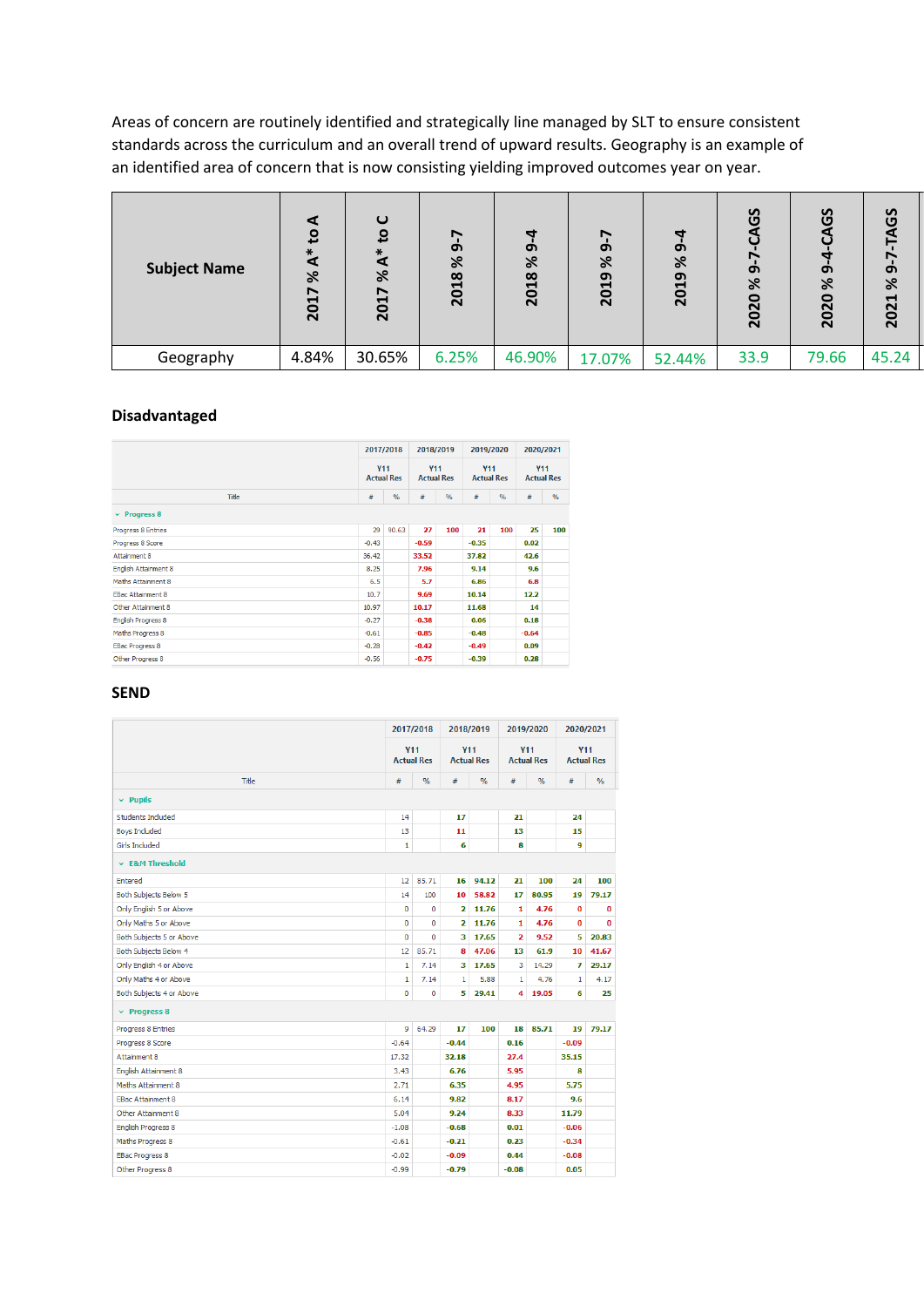Areas of concern are routinely identified and strategically line managed by SLT to ensure consistent standards across the curriculum and an overall trend of upward results. Geography is an example of an identified area of concern that is now consisting yielding improved outcomes year on year.

| <b>Subject Name</b> | <u>ي</u><br>$\breve{\mathbf{x}}$<br>ৼ<br>2017 | $\mathbf \omega$<br>°<br>⋇<br>⊄<br>৯ৎ<br>2017 | Ņ<br>෨<br>৯ৎ<br>2018 | $\sigma$<br>৯<br>2018 | ∼<br>෨<br>৯ৎ<br>ന<br>201 | ෨<br>৯ৎ<br>2019 | <u>ვ</u><br>Ġ<br>৯<br>2020 | <u>ვ</u><br>෨<br>৯ৎ<br>$\bullet$<br>202 | <b>ვე</b><br>෨<br>৯ৎ<br>2021 |
|---------------------|-----------------------------------------------|-----------------------------------------------|----------------------|-----------------------|--------------------------|-----------------|----------------------------|-----------------------------------------|------------------------------|
| Geography           | 4.84%                                         | 30.65%                                        | 6.25%                | 46.90%                | 17.07%                   | 52.44%          | 33.9                       | 79.66                                   | 45.24                        |

# **Disadvantaged**

|                             | 2017/2018<br><b>Y11</b><br><b>Actual Res</b> |       | 2018/2019<br><b>Y11</b><br><b>Actual Res</b> |               | 2019/2020<br><b>Y11</b><br><b>Actual Res</b> |      | 2020/2021<br><b>Y11</b><br><b>Actual Res</b> |               |
|-----------------------------|----------------------------------------------|-------|----------------------------------------------|---------------|----------------------------------------------|------|----------------------------------------------|---------------|
|                             |                                              |       |                                              |               |                                              |      |                                              |               |
| <b>Title</b>                | #                                            | $\%$  | $\#$                                         | $\frac{9}{6}$ | #                                            | $\%$ | $\#$                                         | $\frac{9}{6}$ |
| $\times$ Progress 8         |                                              |       |                                              |               |                                              |      |                                              |               |
| Progress 8 Entries          | 29                                           | 90.63 | 27                                           | 100           | 21                                           | 100  | 25                                           | 100           |
| Progress 8 Score            | $-0.43$                                      |       | $-0.59$                                      |               | $-0.35$                                      |      | 0.02                                         |               |
| Attainment 8                | 36.42                                        |       | 33.52                                        |               | 37.82                                        |      | 42.6                                         |               |
| <b>English Attainment 8</b> | 8.25                                         |       | 7.96                                         |               | 9.14                                         |      | 9.6                                          |               |
| Maths Attainment 8          | 6.5                                          |       | 5.7                                          |               | 6.86                                         |      | 6.8                                          |               |
| <b>EBac Attainment 8</b>    | 10.7                                         |       | 9.69                                         |               | 10.14                                        |      | 12.2                                         |               |
| Other Attainment 8          | 10.97                                        |       | 10.17                                        |               | 11.68                                        |      | 14                                           |               |
| <b>English Progress 8</b>   | $-0.27$                                      |       | $-0.38$                                      |               | 0.06                                         |      | 0.18                                         |               |
| Maths Progress 8            | $-0.61$                                      |       | $-0.85$                                      |               | $-0.48$                                      |      | $-0.64$                                      |               |
| <b>EBac Progress 8</b>      | $-0.28$                                      |       | $-0.42$                                      |               | $-0.49$                                      |      | 0.09                                         |               |
| Other Progress 8            | $-0.56$                                      |       | $-0.75$                                      |               | $-0.39$                                      |      | 0.28                                         |               |

#### **SEND**

|                           |                                 | 2017/2018     |                                 | 2018/2019     |                                 | 2019/2020     | 2020/2021      |                   |
|---------------------------|---------------------------------|---------------|---------------------------------|---------------|---------------------------------|---------------|----------------|-------------------|
|                           | <b>Y11</b><br><b>Actual Res</b> |               | <b>Y11</b><br><b>Actual Res</b> |               | <b>Y11</b><br><b>Actual Res</b> |               | <b>Y11</b>     | <b>Actual Res</b> |
| <b>Title</b>              | #                               | $\frac{9}{6}$ | #                               | $\frac{9}{6}$ | #                               | $\frac{9}{6}$ | #              | $\frac{9}{6}$     |
| $\times$ Pupils           |                                 |               |                                 |               |                                 |               |                |                   |
| Students Included         | 14                              |               | 17                              |               | 21                              |               | 24             |                   |
| <b>Boys Included</b>      | 13                              |               | 11                              |               | 13                              |               | 15             |                   |
| <b>Girls Included</b>     | $\mathbf{1}$                    |               | 6                               |               | 8                               |               | $\overline{9}$ |                   |
| $\times$ E&M Threshold    |                                 |               |                                 |               |                                 |               |                |                   |
| <b>Entered</b>            | 12                              | 85.71         | 16                              | 94.12         | 21                              | 100           | 24             | 100               |
| Both Subjects Below 5     | 14                              | 100           | 10                              | 58.82         | 17                              | 80.95         | 19             | 79.17             |
| Only English 5 or Above   | $\Omega$                        | $\Omega$      | $\overline{2}$                  | 11.76         | 1                               | 4.76          | $\bf{0}$       | 0                 |
| Only Maths 5 or Above     | $\mathbf 0$                     | Ō             | $\overline{\mathbf{2}}$         | 11.76         | $\mathbf{1}$                    | 4.76          | 0              | $\bf{0}$          |
| Both Subjects 5 or Above  | $\mathbf 0$                     | 0             | 3                               | 17.65         | 2                               | 9.52          | 5              | 20.83             |
| Both Subjects Below 4     | 12                              | 85.71         | 8                               | 47.06         | 13                              | 61.9          | 10             | 41.67             |
| Only English 4 or Above   | $\mathbf{1}$                    | 7.14          | 3                               | 17.65         | 3                               | 14.29         | 7              | 29.17             |
| Only Maths 4 or Above     | $\mathbf{1}$                    | 7.14          | 1                               | 5.88          | $\mathbf{1}$                    | 4.76          | 1              | 4.17              |
| Both Subjects 4 or Above  | $\mathbf 0$                     | o             | 5                               | 29.41         | 4                               | 19.05         | 6              | 25                |
| $\times$ Progress 8       |                                 |               |                                 |               |                                 |               |                |                   |
| Progress 8 Entries        | 9                               | 64.29         | 17                              | 100           | 18                              | 85.71         | 19             | 79.17             |
| Progress 8 Score          | $-0.64$                         |               | $-0.44$                         |               | 0.16                            |               | $-0.09$        |                   |
| Attainment 8              | 17.32                           |               | 32.18                           |               | 27.4                            |               | 35.15          |                   |
| English Attainment 8      | 3.43                            |               | 6.76                            |               | 5.95                            |               | 8              |                   |
| Maths Attainment 8        | 2.71                            |               | 6.35                            |               | 4.95                            |               | 5.75           |                   |
| <b>EBac Attainment 8</b>  | 6.14                            |               | 9.82                            |               | 8.17                            |               | 9.6            |                   |
| Other Attainment 8        | 5.04                            |               | 9.24                            |               | 8.33                            |               | 11.79          |                   |
| <b>English Progress 8</b> | $-1.08$                         |               | $-0.68$                         |               | 0.01                            |               | $-0.06$        |                   |
| Maths Progress 8          | $-0.61$                         |               | $-0.21$                         |               | 0.23                            |               | $-0.34$        |                   |
| <b>EBac Progress 8</b>    | $-0.02$                         |               | $-0.09$                         |               | 0.44                            |               | $-0.08$        |                   |
| Other Progress 8          | $-0.99$                         |               | $-0.79$                         |               | $-0.08$                         |               | 0.05           |                   |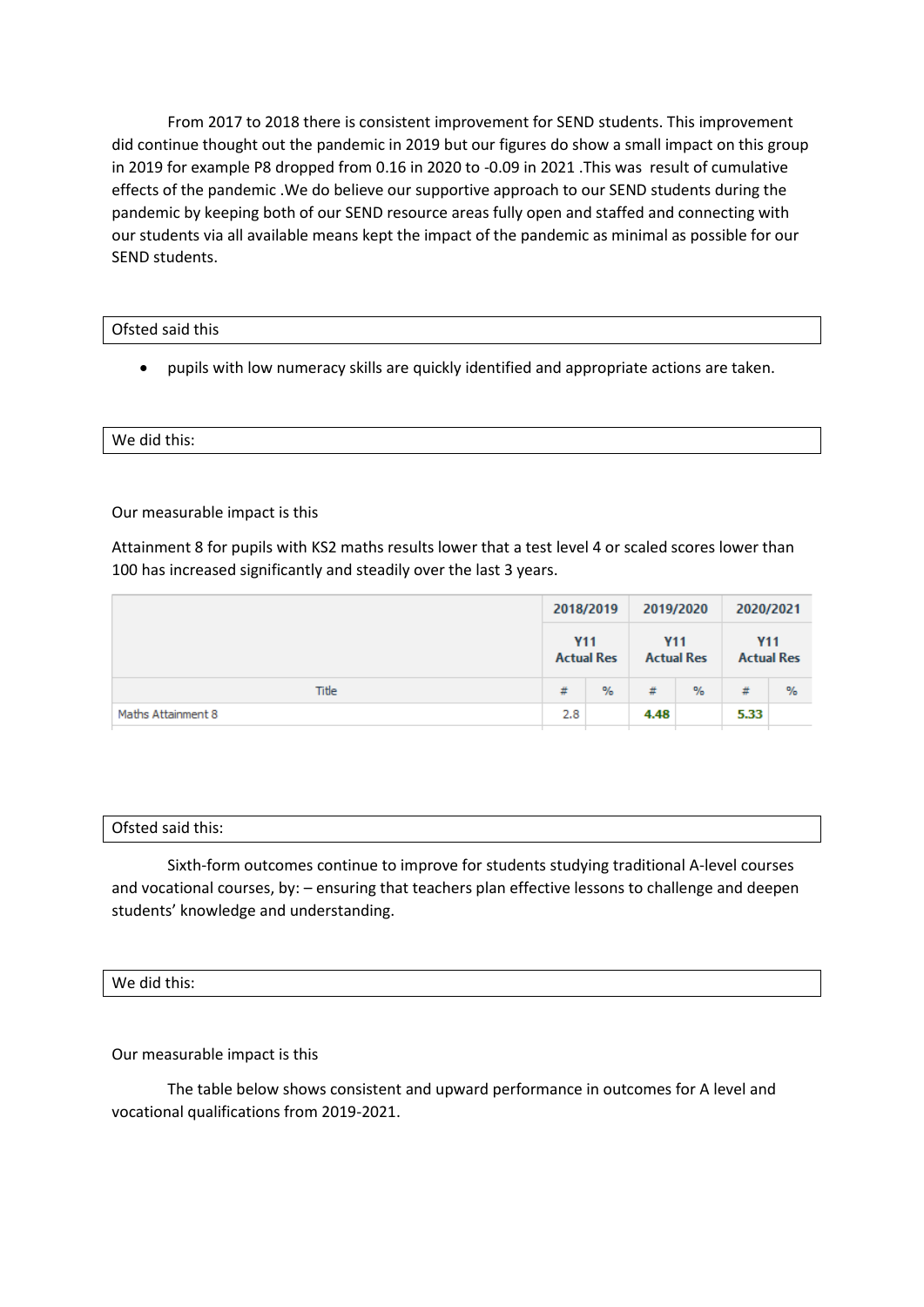From 2017 to 2018 there is consistent improvement for SEND students. This improvement did continue thought out the pandemic in 2019 but our figures do show a small impact on this group in 2019 for example P8 dropped from 0.16 in 2020 to -0.09 in 2021 .This was result of cumulative effects of the pandemic .We do believe our supportive approach to our SEND students during the pandemic by keeping both of our SEND resource areas fully open and staffed and connecting with our students via all available means kept the impact of the pandemic as minimal as possible for our SEND students.

## Ofsted said this

• pupils with low numeracy skills are quickly identified and appropriate actions are taken.

# We did this:

Our measurable impact is this

Attainment 8 for pupils with KS2 maths results lower that a test level 4 or scaled scores lower than 100 has increased significantly and steadily over the last 3 years.

|                    | 2018/2019<br><b>Y11</b><br><b>Actual Res</b> |      |                                 | 2019/2020     | 2020/2021  |                   |
|--------------------|----------------------------------------------|------|---------------------------------|---------------|------------|-------------------|
|                    |                                              |      | <b>Y11</b><br><b>Actual Res</b> |               | <b>Y11</b> | <b>Actual Res</b> |
| Title              | #                                            | $\%$ | #                               | $\frac{9}{6}$ | #          | $\%$              |
| Maths Attainment 8 | 2.8                                          |      | 4.48                            |               | 5.33       |                   |

## Ofsted said this:

Sixth-form outcomes continue to improve for students studying traditional A-level courses and vocational courses, by: – ensuring that teachers plan effective lessons to challenge and deepen students' knowledge and understanding.

# We did this:

Our measurable impact is this

The table below shows consistent and upward performance in outcomes for A level and vocational qualifications from 2019-2021.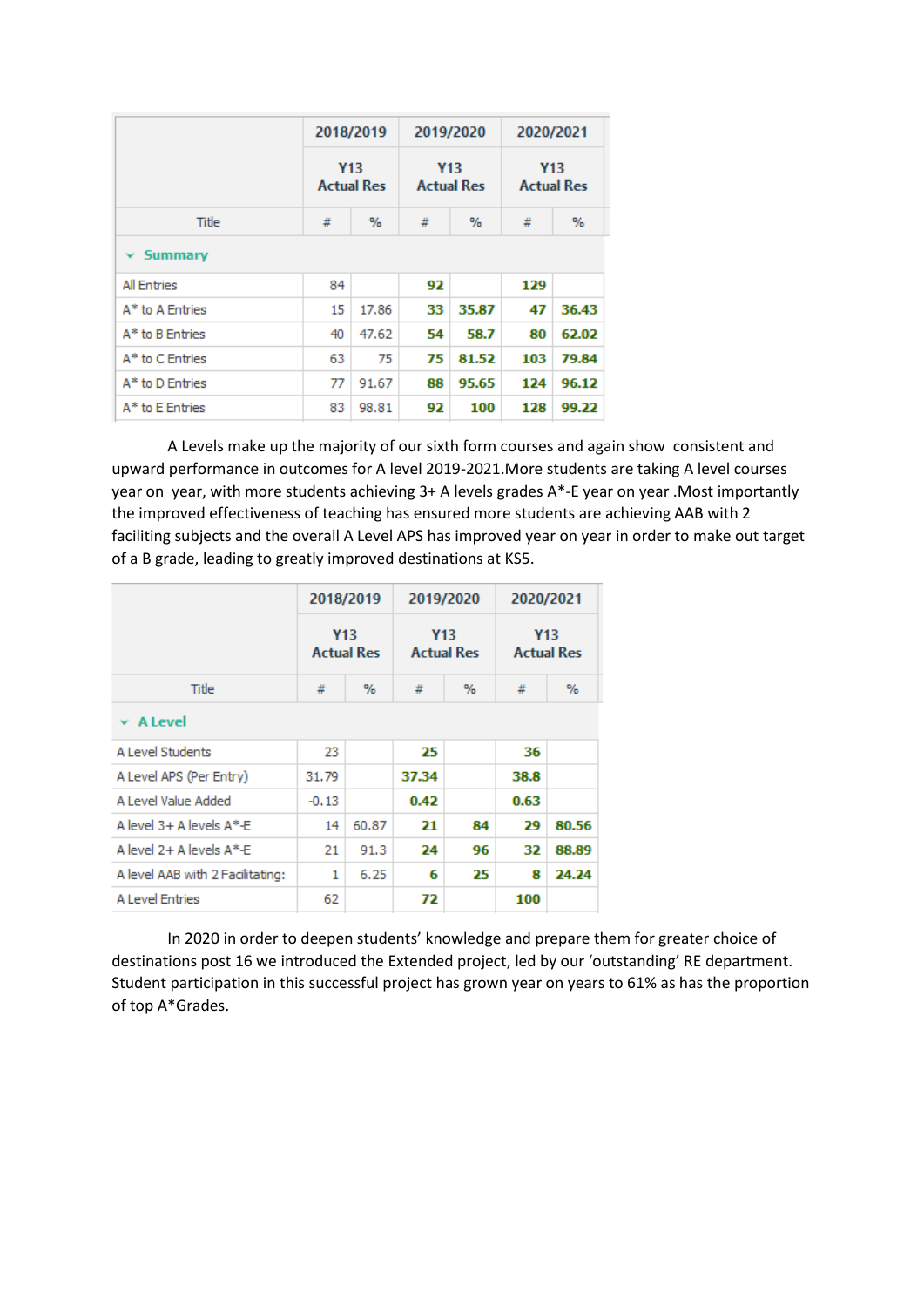|                    | 2018/2019<br><b>Y13</b><br><b>Actual Res</b> |       | 2019/2020  |                   | 2020/2021                       |       |  |
|--------------------|----------------------------------------------|-------|------------|-------------------|---------------------------------|-------|--|
|                    |                                              |       | <b>Y13</b> | <b>Actual Res</b> | <b>Y13</b><br><b>Actual Res</b> |       |  |
| Title              | #<br>%                                       |       | #          | %                 | #                               | $\%$  |  |
| $\times$ Summary   |                                              |       |            |                   |                                 |       |  |
| <b>All Entries</b> | 84                                           |       | 92         |                   | 129                             |       |  |
| A* to A Entries    | 15                                           | 17.86 | 33         | 35.87             | 47                              | 36.43 |  |
| A* to B Entries    | 40                                           | 47.62 | 54         | 58.7              | 80                              | 62.02 |  |
| A* to C Entries    | 63                                           | 75    | 75         | 81.52             | 103                             | 79.84 |  |
| A* to D Entries    | 77                                           | 91.67 | 88         | 95.65             | 124                             | 96.12 |  |
| A* to E Entries    | 83                                           | 98.81 | 92         | 100               | 128                             | 99.22 |  |

A Levels make up the majority of our sixth form courses and again show consistent and upward performance in outcomes for A level 2019-2021.More students are taking A level courses year on year, with more students achieving 3+ A levels grades A\*-E year on year .Most importantly the improved effectiveness of teaching has ensured more students are achieving AAB with 2 faciliting subjects and the overall A Level APS has improved year on year in order to make out target of a B grade, leading to greatly improved destinations at KS5.

|                                  |         | 2018/2019                       | 2019/2020 |                   | 2020/2021                       |       |  |  |  |  |
|----------------------------------|---------|---------------------------------|-----------|-------------------|---------------------------------|-------|--|--|--|--|
|                                  |         | <b>Y13</b><br><b>Actual Res</b> | Y13       | <b>Actual Res</b> | <b>Y13</b><br><b>Actual Res</b> |       |  |  |  |  |
| Title                            | %<br>#  |                                 | #         | $\%$              | #                               | $\%$  |  |  |  |  |
| $\times$ A Level                 |         |                                 |           |                   |                                 |       |  |  |  |  |
| A Level Students                 | 23      |                                 | 25        |                   | 36                              |       |  |  |  |  |
| A Level APS (Per Entry)          | 31.79   |                                 | 37.34     |                   | 38.8                            |       |  |  |  |  |
| A Level Value Added              | $-0.13$ |                                 | 0.42      |                   | 0.63                            |       |  |  |  |  |
| A level $3+$ A levels $A^*$ -E   | 14      | 60.87                           | 21        | 84                | 29                              | 80.56 |  |  |  |  |
| A level 2+ A levels A*-E         | 21      | 91.3                            | 24        | 96                | 32                              | 88.89 |  |  |  |  |
| A level AAB with 2 Facilitating: | 1       | 6.25                            | 6         | 25                | 8                               | 24.24 |  |  |  |  |
| <b>A Level Entries</b>           | 62      |                                 | 72        |                   | 100                             |       |  |  |  |  |

In 2020 in order to deepen students' knowledge and prepare them for greater choice of destinations post 16 we introduced the Extended project, led by our 'outstanding' RE department. Student participation in this successful project has grown year on years to 61% as has the proportion of top A\*Grades.